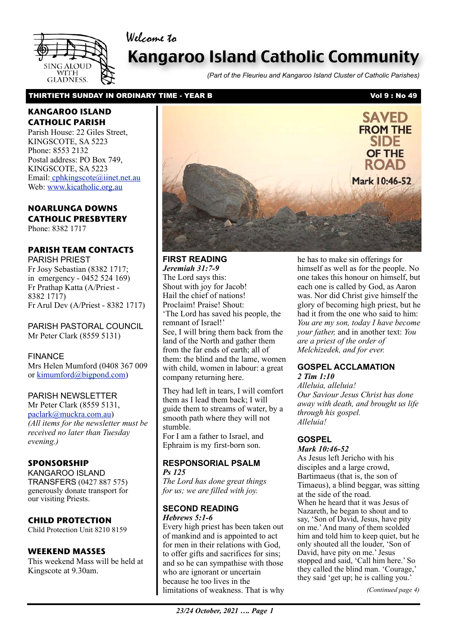Welcome to



# Kangaroo Island Catholic Community

*(Part of the Fleurieu and Kangaroo Island Cluster of Catholic Parishes)*

### THIRTIETH SUNDAY IN ORDINARY TIME - YEAR B Vol 9 : No 49

### **KANGAROO ISLAND CATHOLIC PARISH**

Parish House: 22 Giles Street, KINGSCOTE, SA 5223 Phone: 8553 2132 Postal address: PO Box 749, KINGSCOTE, SA 5223 Email[: cphkingscote@iinet.net.au](mailto:cphkingscote@iinet.net.au) Web: [www.kicatholic.org.au](http://www.kicatholic.org.au)

## **NOARLUNGA DOWNS CATHOLIC PRESBYTERY**

Phone: 8382 1717

## **PARISH TEAM CONTACTS**

PARISH PRIEST Fr Josy Sebastian (8382 1717; in emergency - 0452 524 169) Fr Prathap Katta (A/Priest - 8382 1717) Fr Arul Dev (A/Priest - 8382 1717)

PARISH PASTORAL COUNCIL Mr Peter Clark (8559 5131)

FINANCE Mrs Helen Mumford (0408 367 009 or [kimumford@bigpond.com\)](mailto:kimumford@bigpond.com)

### PARISH NEWSLETTER

Mr Peter Clark (8559 5131, [paclark@muckra.com.au\)](mailto:paclark@muckra.com.au) *(All items for the newsletter must be received no later than Tuesday evening.)*

### **SPONSORSHIP**

KANGAROO ISLAND TRANSFERS (0427 887 575) generously donate transport for our visiting Priests.

### **CHILD PROTECTION**

Child Protection Unit 8210 8159

### **WEEKEND MASSES**

This weekend Mass will be held at Kingscote at 9.30am.



### **FIRST READING** *Jeremiah 31:7-9*  The Lord says this: Shout with joy for Jacob! Hail the chief of nations! Proclaim! Praise! Shout: 'The Lord has saved his people, the remnant of Israel!' See, I will bring them back from the land of the North and gather them

from the far ends of earth; all of them: the blind and the lame, women with child, women in labour: a great company returning here.

They had left in tears, I will comfort them as I lead them back; I will guide them to streams of water, by a smooth path where they will not stumble.

For I am a father to Israel, and Ephraim is my first-born son.

### **RESPONSORIAL PSALM** *Ps 125*

*The Lord has done great things for us; we are filled with joy.*

### **SECOND READING** *Hebrews 5:1-6*

limitations of weakness. That is why Every high priest has been taken out of mankind and is appointed to act for men in their relations with God, to offer gifts and sacrifices for sins; and so he can sympathise with those who are ignorant or uncertain because he too lives in the

he has to make sin offerings for himself as well as for the people. No one takes this honour on himself, but each one is called by God, as Aaron was. Nor did Christ give himself the glory of becoming high priest, but he had it from the one who said to him: *You are my son, today I have become your father,* and in another text: *You are a priest of the order of Melchizedek, and for ever.*

## **GOSPEL ACCLAMATION**

*2 Tim 1:10 Alleluia, alleluia! Our Saviour Jesus Christ has done away with death, and brought us life through his gospel. Alleluia!*

## **GOSPEL**

### *Mark 10:46-52*

As Jesus left Jericho with his disciples and a large crowd, Bartimaeus (that is, the son of Timaeus), a blind beggar, was sitting at the side of the road. When he heard that it was Jesus of Nazareth, he began to shout and to say, 'Son of David, Jesus, have pity on me.' And many of them scolded him and told him to keep quiet, but he only shouted all the louder, 'Son of David, have pity on me.' Jesus stopped and said, 'Call him here.' So they called the blind man. 'Courage,' they said 'get up; he is calling you.'

*(Continued page 4)*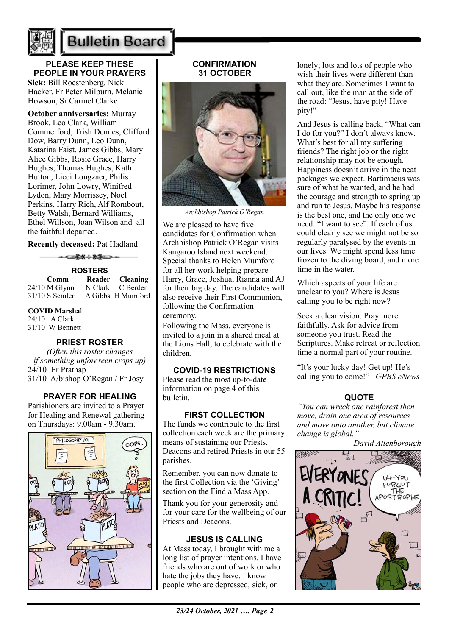

## **Bulletin Board**

**PLEASE KEEP THESE PEOPLE IN YOUR PRAYERS Sick:** Bill Roestenberg, Nick

Hacker, Fr Peter Milburn, Melanie Howson, Sr Carmel Clarke

**October anniversaries:** Murray Brook, Leo Clark, William Commerford, Trish Dennes, Clifford Dow, Barry Dunn, Leo Dunn, Katarina Faist, James Gibbs, Mary Alice Gibbs, Rosie Grace, Harry Hughes, Thomas Hughes, Kath Hutton, Licci Longzaer, Philis Lorimer, John Lowry, Winifred Lydon, Mary Morrissey, Noel Perkins, Harry Rich, Alf Rombout, Betty Walsh, Bernard Williams, Ethel Willson, Joan Wilson and all the faithful departed.

**Recently deceased:** Pat Hadland

––<del>≥≭⊹⊁≨</del> **ROSTERS**<br>Reader **Comm Reader Cleaning**<br> **M Glynn N Clark C Berden**  $24/10$  M Glynn 31/10 S Semler A Gibbs H Mumford

**COVID Marsha**l

24/10 A Clark 31/10 W Bennett

### **PRIEST ROSTER**

*(Often this roster changes if something unforeseen crops up)* 24/10 Fr Prathap 31/10 A/bishop O'Regan / Fr Josy

### **PRAYER FOR HEALING**

Parishioners are invited to a Prayer for Healing and Renewal gathering on Thursdays: 9.00am - 9.30am.



### **CONFIRMATION 31 OCTOBER**



*Archbishop Patrick O'Regan*

We are pleased to have five candidates for Confirmation when Archbishop Patrick O'Regan visits Kangaroo Island next weekend. Special thanks to Helen Mumford for all her work helping prepare Harry, Grace, Joshua, Rianna and AJ for their big day. The candidates will also receive their First Communion, following the Confirmation ceremony.

Following the Mass, everyone is invited to a join in a shared meal at the Lions Hall, to celebrate with the children.

### **COVID-19 RESTRICTIONS**

Please read the most up-to-date information on page 4 of this bulletin.

### **FIRST COLLECTION**

The funds we contribute to the first collection each week are the primary means of sustaining our Priests, Deacons and retired Priests in our 55 parishes.

Remember, you can now donate to the first Collection via the 'Giving' section on the Find a Mass App.

Thank you for your generosity and for your care for the wellbeing of our Priests and Deacons.

### **JESUS IS CALLING**

At Mass today, I brought with me a long list of prayer intentions. I have friends who are out of work or who hate the jobs they have. I know people who are depressed, sick, or

lonely; lots and lots of people who wish their lives were different than what they are. Sometimes I want to call out, like the man at the side of the road: "Jesus, have pity! Have pity!"

And Jesus is calling back, "What can I do for you?" I don't always know. What's best for all my suffering friends? The right job or the right relationship may not be enough. Happiness doesn't arrive in the neat packages we expect. Bartimaeus was sure of what he wanted, and he had the courage and strength to spring up and run to Jesus. Maybe his response is the best one, and the only one we need: "I want to see". If each of us could clearly see we might not be so regularly paralysed by the events in our lives. We might spend less time frozen to the diving board, and more time in the water.

Which aspects of your life are unclear to you? Where is Jesus calling you to be right now?

Seek a clear vision. Pray more faithfully. Ask for advice from someone you trust. Read the Scriptures. Make retreat or reflection time a normal part of your routine.

"It's your lucky day! Get up! He's calling you to come!" *GPBS eNews*

### **QUOTE**

*"You can wreck one rainforest then move, drain one area of resources and move onto another, but climate change is global."* 

*David Attenborough* FORGO<sup>T</sup> THE APOST ROPHE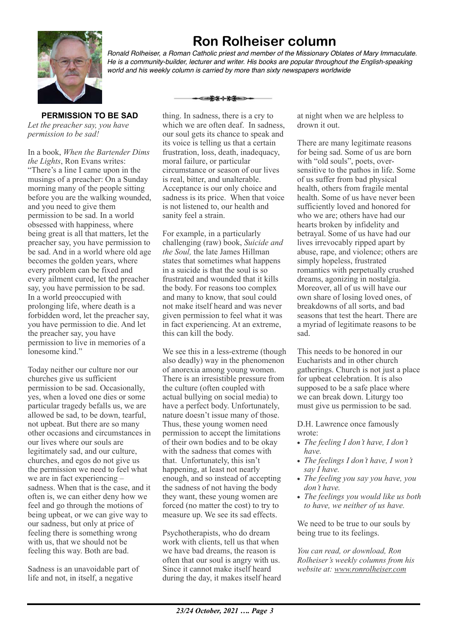

**Ron Rolheiser column**

*Ronald Rolheiser, a Roman Catholic priest and member of the Missionary Oblates of Mary Immaculate. He is a community-builder, lecturer and writer. His books are popular throughout the English-speaking world and his weekly column is carried by more than sixty newspapers worldwide*

**PERMISSION TO BE SAD** *Let the preacher say, you have permission to be sad!*

In a book, *When the Bartender Dims the Lights*, Ron Evans writes: "There's a line I came upon in the musings of a preacher: On a Sunday morning many of the people sitting before you are the walking wounded, and you need to give them permission to be sad. In a world obsessed with happiness, where being great is all that matters, let the preacher say, you have permission to be sad. And in a world where old age becomes the golden years, where every problem can be fixed and every ailment cured, let the preacher say, you have permission to be sad. In a world preoccupied with prolonging life, where death is a forbidden word, let the preacher say, you have permission to die. And let the preacher say, you have permission to live in memories of a lonesome kind."

Today neither our culture nor our churches give us sufficient permission to be sad. Occasionally, yes, when a loved one dies or some particular tragedy befalls us, we are allowed be sad, to be down, tearful, not upbeat. But there are so many other occasions and circumstances in our lives where our souls are legitimately sad, and our culture, churches, and egos do not give us the permission we need to feel what we are in fact experiencing – sadness. When that is the case, and it often is, we can either deny how we feel and go through the motions of being upbeat, or we can give way to our sadness, but only at price of feeling there is something wrong with us, that we should not be feeling this way. Both are bad.

Sadness is an unavoidable part of life and not, in itself, a negative

thing. In sadness, there is a cry to which we are often deaf. In sadness, our soul gets its chance to speak and its voice is telling us that a certain frustration, loss, death, inadequacy, moral failure, or particular circumstance or season of our lives is real, bitter, and unalterable. Acceptance is our only choice and sadness is its price. When that voice is not listened to, our health and sanity feel a strain.

▅<del>▓</del>⊹▓▅

For example, in a particularly challenging (raw) book, *Suicide and the Soul,* the late James Hillman states that sometimes what happens in a suicide is that the soul is so frustrated and wounded that it kills the body. For reasons too complex and many to know, that soul could not make itself heard and was never given permission to feel what it was in fact experiencing. At an extreme, this can kill the body.

We see this in a less-extreme (though also deadly) way in the phenomenon of anorexia among young women. There is an irresistible pressure from the culture (often coupled with actual bullying on social media) to have a perfect body. Unfortunately, nature doesn't issue many of those. Thus, these young women need permission to accept the limitations of their own bodies and to be okay with the sadness that comes with that. Unfortunately, this isn't happening, at least not nearly enough, and so instead of accepting the sadness of not having the body they want, these young women are forced (no matter the cost) to try to measure up. We see its sad effects.

Psychotherapists, who do dream work with clients, tell us that when we have bad dreams, the reason is often that our soul is angry with us. Since it cannot make itself heard during the day, it makes itself heard at night when we are helpless to drown it out.

There are many legitimate reasons for being sad. Some of us are born with "old souls", poets, oversensitive to the pathos in life. Some of us suffer from bad physical health, others from fragile mental health. Some of us have never been sufficiently loved and honored for who we are; others have had our hearts broken by infidelity and betrayal. Some of us have had our lives irrevocably ripped apart by abuse, rape, and violence; others are simply hopeless, frustrated romantics with perpetually crushed dreams, agonizing in nostalgia. Moreover, all of us will have our own share of losing loved ones, of breakdowns of all sorts, and bad seasons that test the heart. There are a myriad of legitimate reasons to be sad.

This needs to be honored in our Eucharists and in other church gatherings. Church is not just a place for upbeat celebration. It is also supposed to be a safe place where we can break down. Liturgy too must give us permission to be sad.

D.H. Lawrence once famously wrote:

- *• The feeling I don't have, I don't have.*
- *• The feelings I don't have, I won't say I have.*
- *• The feeling you say you have, you don't have.*
- *• The feelings you would like us both to have, we neither of us have.*

We need to be true to our souls by being true to its feelings.

*You can read, or download, Ron Rolheiser's weekly columns from his website at: www.ronrolheiser.com*